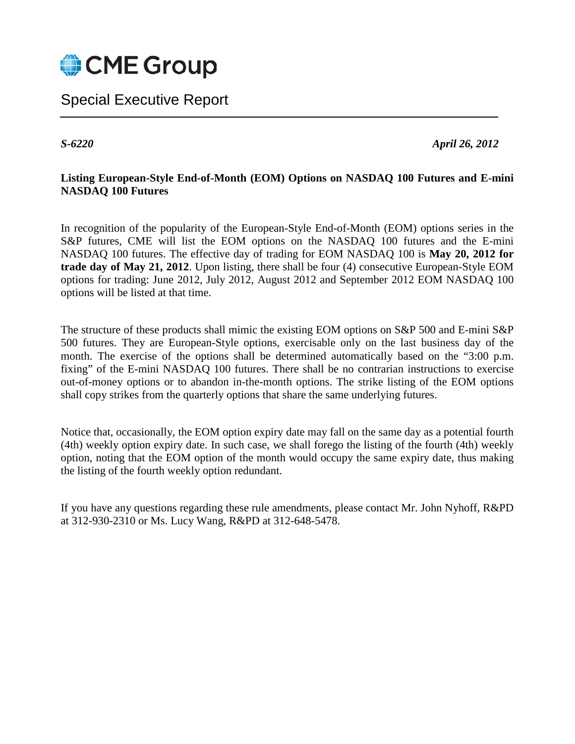

Special Executive Report

*S-6220 April 26, 2012*

## **Listing European-Style End-of-Month (EOM) Options on NASDAQ 100 Futures and E-mini NASDAQ 100 Futures**

In recognition of the popularity of the European-Style End-of-Month (EOM) options series in the S&P futures, CME will list the EOM options on the NASDAQ 100 futures and the E-mini NASDAQ 100 futures. The effective day of trading for EOM NASDAQ 100 is **May 20, 2012 for trade day of May 21, 2012**. Upon listing, there shall be four (4) consecutive European-Style EOM options for trading: June 2012, July 2012, August 2012 and September 2012 EOM NASDAQ 100 options will be listed at that time.

The structure of these products shall mimic the existing EOM options on S&P 500 and E-mini S&P 500 futures. They are European-Style options, exercisable only on the last business day of the month. The exercise of the options shall be determined automatically based on the "3:00 p.m. fixing" of the E-mini NASDAQ 100 futures. There shall be no contrarian instructions to exercise out-of-money options or to abandon in-the-month options. The strike listing of the EOM options shall copy strikes from the quarterly options that share the same underlying futures.

Notice that, occasionally, the EOM option expiry date may fall on the same day as a potential fourth (4th) weekly option expiry date. In such case, we shall forego the listing of the fourth (4th) weekly option, noting that the EOM option of the month would occupy the same expiry date, thus making the listing of the fourth weekly option redundant.

<span id="page-0-0"></span>If you have any questions regarding these rule amendments, please contact Mr. John Nyhoff, R&PD at 312-930-2310 or Ms. Lucy Wang, R&PD at 312-648-5478.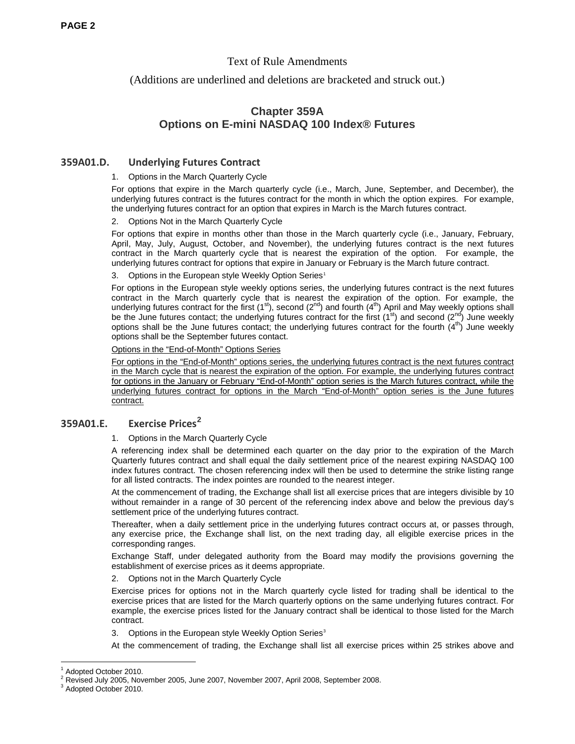### Text of Rule Amendments

(Additions are underlined and deletions are bracketed and struck out.)

# **Chapter 359A Options on E-mini NASDAQ 100 Index® Futures**

### **359A01.D. Underlying Futures Contract**

#### 1. Options in the March Quarterly Cycle

For options that expire in the March quarterly cycle (i.e., March, June, September, and December), the underlying futures contract is the futures contract for the month in which the option expires. For example, the underlying futures contract for an option that expires in March is the March futures contract.

#### 2. Options Not in the March Quarterly Cycle

For options that expire in months other than those in the March quarterly cycle (i.e., January, February, April, May, July, August, October, and November), the underlying futures contract is the next futures contract in the March quarterly cycle that is nearest the expiration of the option. For example, the underlying futures contract for options that expire in January or February is the March future contract.

#### 3. Options in the European style Weekly Option Series<sup>[1](#page-0-0)</sup>

For options in the European style weekly options series, the underlying futures contract is the next futures contract in the March quarterly cycle that is nearest the expiration of the option. For example, the underlying futures contract for the first (1<sup>st</sup>), second (2<sup>nd</sup>) and fourth (4<sup>th</sup>) April and May weekly options shall be the June futures contact; the underlying futures contract for the first (1st) and second (2nd) June weekly options shall be the June futures contact; the underlying futures contract for the fourth  $(4<sup>th</sup>)$  June weekly options shall be the September futures contact.

#### Options in the "End-of-Month" Options Series

For options in the "End-of-Month" options series, the underlying futures contract is the next futures contract in the March cycle that is nearest the expiration of the option. For example, the underlying futures contract for options in the January or February "End-of-Month" option series is the March futures contract, while the underlying futures contract for options in the March "End-of-Month" option series is the June futures contract.

### **359A01.E. Exercise Prices[2](#page-1-0)**

#### 1. Options in the March Quarterly Cycle

A referencing index shall be determined each quarter on the day prior to the expiration of the March Quarterly futures contract and shall equal the daily settlement price of the nearest expiring NASDAQ 100 index futures contract. The chosen referencing index will then be used to determine the strike listing range for all listed contracts. The index pointes are rounded to the nearest integer.

At the commencement of trading, the Exchange shall list all exercise prices that are integers divisible by 10 without remainder in a range of 30 percent of the referencing index above and below the previous day's settlement price of the underlying futures contract.

Thereafter, when a daily settlement price in the underlying futures contract occurs at, or passes through, any exercise price, the Exchange shall list, on the next trading day, all eligible exercise prices in the corresponding ranges.

Exchange Staff, under delegated authority from the Board may modify the provisions governing the establishment of exercise prices as it deems appropriate.

2. Options not in the March Quarterly Cycle

Exercise prices for options not in the March quarterly cycle listed for trading shall be identical to the exercise prices that are listed for the March quarterly options on the same underlying futures contract. For example, the exercise prices listed for the January contract shall be identical to those listed for the March contract.

3. Options in the European style Weekly Option Series<sup>3</sup>

At the commencement of trading, the Exchange shall list all exercise prices within 25 strikes above and

<span id="page-1-2"></span>Adopted October 2010.

<span id="page-1-0"></span> $^2$  Revised July 2005, November 2005, June 2007, November 2007, April 2008, September 2008.<br> $^3$  Adopted October 2010.

<span id="page-1-1"></span>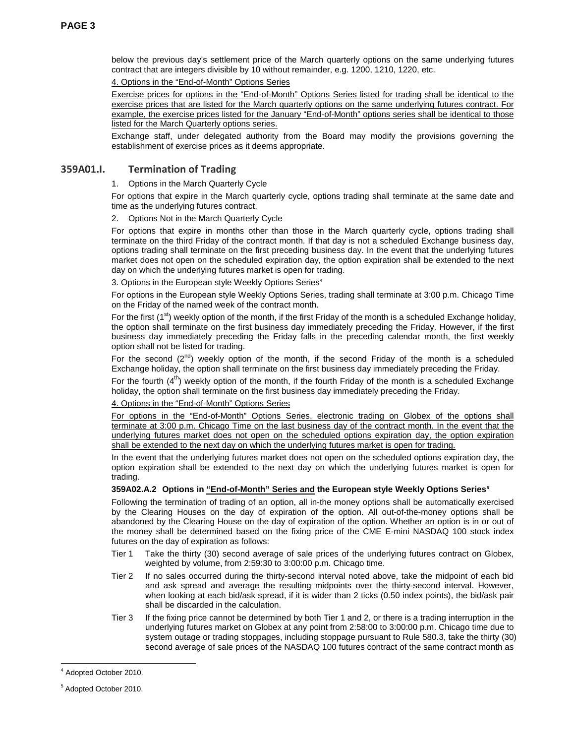below the previous day's settlement price of the March quarterly options on the same underlying futures contract that are integers divisible by 10 without remainder, e.g. 1200, 1210, 1220, etc.

4. Options in the "End-of-Month" Options Series

Exercise prices for options in the "End-of-Month" Options Series listed for trading shall be identical to the exercise prices that are listed for the March quarterly options on the same underlying futures contract. For example, the exercise prices listed for the January "End-of-Month" options series shall be identical to those listed for the March Quarterly options series.

Exchange staff, under delegated authority from the Board may modify the provisions governing the establishment of exercise prices as it deems appropriate.

### **359A01.I. Termination of Trading**

#### 1. Options in the March Quarterly Cycle

For options that expire in the March quarterly cycle, options trading shall terminate at the same date and time as the underlying futures contract.

#### 2. Options Not in the March Quarterly Cycle

For options that expire in months other than those in the March quarterly cycle, options trading shall terminate on the third Friday of the contract month. If that day is not a scheduled Exchange business day, options trading shall terminate on the first preceding business day. In the event that the underlying futures market does not open on the scheduled expiration day, the option expiration shall be extended to the next day on which the underlying futures market is open for trading.

3. Options in the European style Weekly Options Series<sup>[4](#page-1-2)</sup>

For options in the European style Weekly Options Series, trading shall terminate at 3:00 p.m. Chicago Time on the Friday of the named week of the contract month.

For the first  $(1^{st})$  weekly option of the month, if the first Friday of the month is a scheduled Exchange holiday, the option shall terminate on the first business day immediately preceding the Friday. However, if the first business day immediately preceding the Friday falls in the preceding calendar month, the first weekly option shall not be listed for trading.

For the second  $(2^{nd})$  weekly option of the month, if the second Friday of the month is a scheduled Exchange holiday, the option shall terminate on the first business day immediately preceding the Friday.

For the fourth  $(4^{th})$  weekly option of the month, if the fourth Friday of the month is a scheduled Exchange holiday, the option shall terminate on the first business day immediately preceding the Friday.

#### 4. Options in the "End-of-Month" Options Series

For options in the "End-of-Month" Options Series, electronic trading on Globex of the options shall terminate at 3:00 p.m. Chicago Time on the last business day of the contract month. In the event that the underlying futures market does not open on the scheduled options expiration day, the option expiration shall be extended to the next day on which the underlying futures market is open for trading.

In the event that the underlying futures market does not open on the scheduled options expiration day, the option expiration shall be extended to the next day on which the underlying futures market is open for trading.

#### **359A02.A.2 Options in "End-of-Month" Series and the European style Weekly Options Series[5](#page-2-0)**

Following the termination of trading of an option, all in-the money options shall be automatically exercised by the Clearing Houses on the day of expiration of the option. All out-of-the-money options shall be abandoned by the Clearing House on the day of expiration of the option. Whether an option is in or out of the money shall be determined based on the fixing price of the CME E-mini NASDAQ 100 stock index futures on the day of expiration as follows:

- Tier 1 Take the thirty (30) second average of sale prices of the underlying futures contract on Globex, weighted by volume, from 2:59:30 to 3:00:00 p.m. Chicago time.
- Tier 2 If no sales occurred during the thirty-second interval noted above, take the midpoint of each bid and ask spread and average the resulting midpoints over the thirty-second interval. However, when looking at each bid/ask spread, if it is wider than 2 ticks (0.50 index points), the bid/ask pair shall be discarded in the calculation.
- Tier 3 If the fixing price cannot be determined by both Tier 1 and 2, or there is a trading interruption in the underlying futures market on Globex at any point from 2:58:00 to 3:00:00 p.m. Chicago time due to system outage or trading stoppages, including stoppage pursuant to Rule 580.3, take the thirty (30) second average of sale prices of the NASDAQ 100 futures contract of the same contract month as

Adopted October 2010.

<span id="page-2-1"></span><span id="page-2-0"></span><sup>5</sup> Adopted October 2010.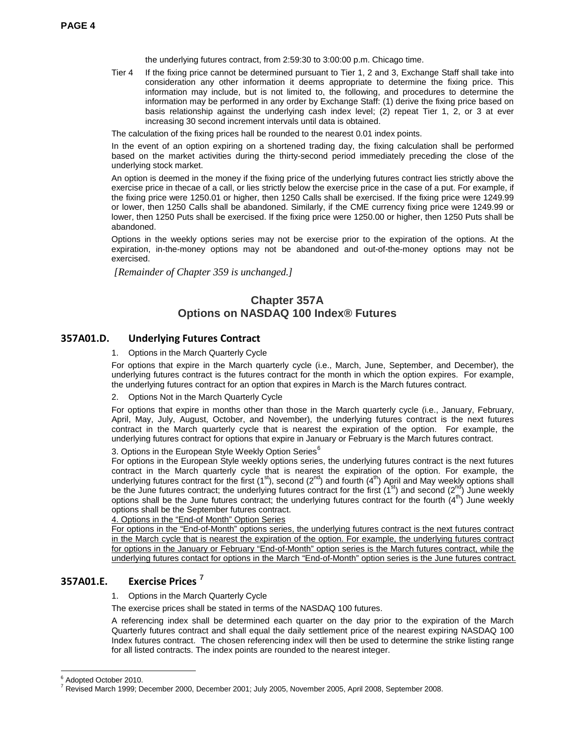the underlying futures contract, from 2:59:30 to 3:00:00 p.m. Chicago time.

Tier 4 If the fixing price cannot be determined pursuant to Tier 1, 2 and 3, Exchange Staff shall take into consideration any other information it deems appropriate to determine the fixing price. This information may include, but is not limited to, the following, and procedures to determine the information may be performed in any order by Exchange Staff: (1) derive the fixing price based on basis relationship against the underlying cash index level; (2) repeat Tier 1, 2, or 3 at ever increasing 30 second increment intervals until data is obtained.

The calculation of the fixing prices hall be rounded to the nearest 0.01 index points.

In the event of an option expiring on a shortened trading day, the fixing calculation shall be performed based on the market activities during the thirty-second period immediately preceding the close of the underlying stock market.

An option is deemed in the money if the fixing price of the underlying futures contract lies strictly above the exercise price in thecae of a call, or lies strictly below the exercise price in the case of a put. For example, if the fixing price were 1250.01 or higher, then 1250 Calls shall be exercised. If the fixing price were 1249.99 or lower, then 1250 Calls shall be abandoned. Similarly, if the CME currency fixing price were 1249.99 or lower, then 1250 Puts shall be exercised. If the fixing price were 1250.00 or higher, then 1250 Puts shall be abandoned.

Options in the weekly options series may not be exercise prior to the expiration of the options. At the expiration, in-the-money options may not be abandoned and out-of-the-money options may not be exercised.

*[Remainder of Chapter 359 is unchanged.]*

## **Chapter 357A Options on NASDAQ 100 Index® Futures**

### **357A01.D. Underlying Futures Contract**

#### 1. Options in the March Quarterly Cycle

For options that expire in the March quarterly cycle (i.e., March, June, September, and December), the underlying futures contract is the futures contract for the month in which the option expires. For example, the underlying futures contract for an option that expires in March is the March futures contract.

2. Options Not in the March Quarterly Cycle

For options that expire in months other than those in the March quarterly cycle (i.e., January, February, April, May, July, August, October, and November), the underlying futures contract is the next futures contract in the March quarterly cycle that is nearest the expiration of the option. For example, the underlying futures contract for options that expire in January or February is the March futures contract.

3. Options in the European Style Weekly Option Series<sup>[6](#page-2-1)</sup>

For options in the European Style weekly options series, the underlying futures contract is the next futures contract in the March quarterly cycle that is nearest the expiration of the option. For example, the underlying futures contract for the first (1<sup>st</sup>), second (2<sup>nd</sup>) and fourth (4<sup>th</sup>) April and May weekly options shall be the June futures contract; the underlying futures contract for the first (1<sup>st</sup>) and second (2<sup>nd</sup>) June weekly options shall be the June futures contract; the underlying futures contract for the fourth  $(4^{th})$  June weekly options shall be the September futures contract.

#### 4. Options in the "End-of Month" Option Series

For options in the "End-of-Month" options series, the underlying futures contract is the next futures contract in the March cycle that is nearest the expiration of the option. For example, the underlying futures contract for options in the January or February "End-of-Month" option series is the March futures contract, while the underlying futures contact for options in the March "End-of-Month" option series is the June futures contract.

## **357A01.E. Exercise Prices [7](#page-3-0)**

1. Options in the March Quarterly Cycle

The exercise prices shall be stated in terms of the NASDAQ 100 futures.

A referencing index shall be determined each quarter on the day prior to the expiration of the March Quarterly futures contract and shall equal the daily settlement price of the nearest expiring NASDAQ 100 Index futures contract. The chosen referencing index will then be used to determine the strike listing range for all listed contracts. The index points are rounded to the nearest integer.

<span id="page-3-1"></span><sup>&</sup>lt;sup>6</sup> Adopted October 2010.

<span id="page-3-0"></span><sup>7</sup> Revised March 1999; December 2000, December 2001; July 2005, November 2005, April 2008, September 2008.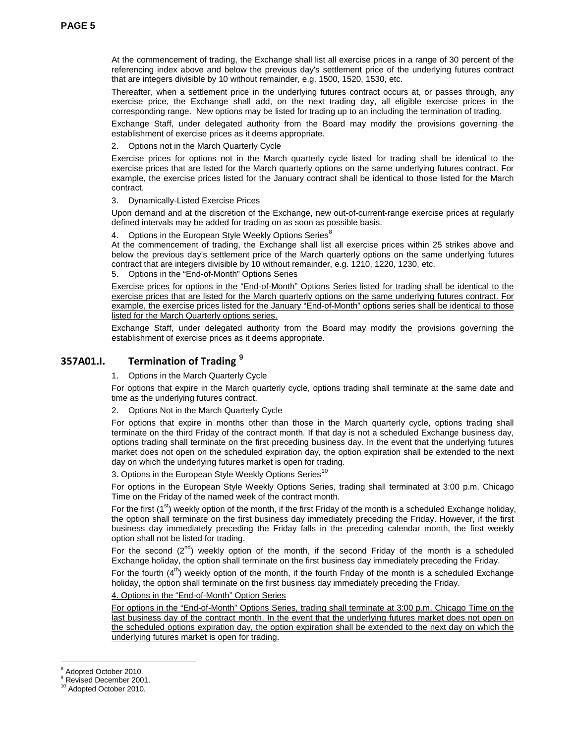At the commencement of trading, the Exchange shall list all exercise prices in a range of 30 percent of the referencing index above and below the previous day's settlement price of the underlying futures contract that are integers divisible by 10 without remainder, e.g. 1500, 1520, 1530, etc.

Thereafter, when a settlement price in the underlying futures contract occurs at, or passes through, any exercise price, the Exchange shall add, on the next trading day, all eligible exercise prices in the corresponding range. New options may be listed for trading up to an including the termination of trading.

Exchange Staff, under delegated authority from the Board may modify the provisions governing the establishment of exercise prices as it deems appropriate.

2. Options not in the March Quarterly Cycle

Exercise prices for options not in the March quarterly cycle listed for trading shall be identical to the exercise prices that are listed for the March quarterly options on the same underlying futures contract. For example, the exercise prices listed for the January contract shall be identical to those listed for the March contract.

3. Dynamically-Listed Exercise Prices

Upon demand and at the discretion of the Exchange, new out-of-current-range exercise prices at regularly defined intervals may be added for trading on as soon as possible basis.

Options in the European Style Weekly Options Series<sup>[8](#page-3-1)</sup>

At the commencement of trading, the Exchange shall list all exercise prices within 25 strikes above and below the previous day's settlement price of the March quarterly options on the same underlying futures contract that are integers divisible by 10 without remainder, e.g. 1210, 1220, 1230, etc.

5. Options in the "End-of-Month" Options Series

Exercise prices for options in the "End-of-Month" Options Series listed for trading shall be identical to the exercise prices that are listed for the March quarterly options on the same underlying futures contract. For example, the exercise prices listed for the January "End-of-Month" options series shall be identical to those listed for the March Quarterly options series.

Exchange Staff, under delegated authority from the Board may modify the provisions governing the establishment of exercise prices as it deems appropriate.

## **357A01.I. Termination of Trading [9](#page-4-0)**

1. Options in the March Quarterly Cycle

For options that expire in the March quarterly cycle, options trading shall terminate at the same date and time as the underlying futures contract.

2. Options Not in the March Quarterly Cycle

For options that expire in months other than those in the March quarterly cycle, options trading shall terminate on the third Friday of the contract month. If that day is not a scheduled Exchange business day, options trading shall terminate on the first preceding business day. In the event that the underlying futures market does not open on the scheduled expiration day, the option expiration shall be extended to the next day on which the underlying futures market is open for trading.

3. Options in the European Style Weekly Options Series<sup>[10](#page-4-1)</sup>

For options in the European Style Weekly Options Series, trading shall terminated at 3:00 p.m. Chicago Time on the Friday of the named week of the contract month.

For the first  $(1^{st})$  weekly option of the month, if the first Friday of the month is a scheduled Exchange holiday, the option shall terminate on the first business day immediately preceding the Friday. However, if the first business day immediately preceding the Friday falls in the preceding calendar month, the first weekly option shall not be listed for trading.

For the second  $(2^{nd})$  weekly option of the month, if the second Friday of the month is a scheduled Exchange holiday, the option shall terminate on the first business day immediately preceding the Friday.

For the fourth  $(4<sup>th</sup>)$  weekly option of the month, if the fourth Friday of the month is a scheduled Exchange holiday, the option shall terminate on the first business day immediately preceding the Friday.

4. Options in the "End-of-Month" Option Series

For options in the "End-of-Month" Options Series, trading shall terminate at 3:00 p.m. Chicago Time on the last business day of the contract month. In the event that the underlying futures market does not open on the scheduled options expiration day, the option expiration shall be extended to the next day on which the underlying futures market is open for trading.

<span id="page-4-0"></span><sup>&</sup>lt;sup>8</sup> Adopted October 2010.<br><sup>9</sup> Revised December 2001.

<span id="page-4-1"></span><sup>&</sup>lt;sup>10</sup> Adopted October 2010.